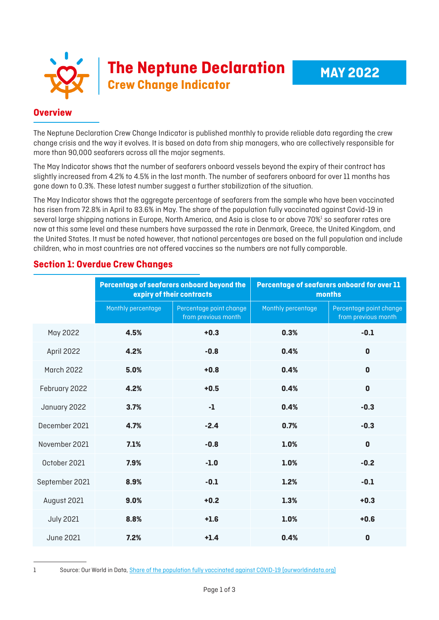|  | <b>COLLET SERVICE SERVICE SERVICE SERVICE SERVICE SERVICE SERVICE SERVICE SERVICE SERVICE SERVICE SERVICE SERVICE SERVICE SERVICE SERVICE SERVICE SERVICE SERVICE SERVICE SERVICE SERVICE SERVICE SERVICE SERVICE SERVICE SERVIC</b> |
|--|--------------------------------------------------------------------------------------------------------------------------------------------------------------------------------------------------------------------------------------|
|  |                                                                                                                                                                                                                                      |

## **Overview**

The Neptune Declaration Crew Change Indicator is published monthly to provide reliable data regarding the crew change crisis and the way it evolves. It is based on data from ship managers, who are collectively responsible for more than 90,000 seafarers across all the major segments.

The May Indicator shows that the number of seafarers onboard vessels beyond the expiry of their contract has slightly increased from 4.2% to 4.5% in the last month. The number of seafarers onboard for over 11 months has gone down to 0.3%. These latest number suggest a further stabilization of the situation.

The May Indicator shows that the aggregate percentage of seafarers from the sample who have been vaccinated has risen from 72.8% in April to 83.6% in May. The share of the population fully vaccinated against Covid-19 in several large shipping nations in Europe, North America, and Asia is close to or above 70%<sup>1</sup> so seafarer rates are now at this same level and these numbers have surpassed the rate in Denmark, Greece, the United Kingdom, and the United States. It must be noted however, that national percentages are based on the full population and include children, who in most countries are not offered vaccines so the numbers are not fully comparable.

|                   | Percentage of seafarers onboard beyond the<br>expiry of their contracts |                                                | Percentage of seafarers onboard for over 11<br>months |                                                |
|-------------------|-------------------------------------------------------------------------|------------------------------------------------|-------------------------------------------------------|------------------------------------------------|
|                   | Monthly percentage                                                      | Percentage point change<br>from previous month | Monthly percentage                                    | Percentage point change<br>from previous month |
| May 2022          | 4.5%                                                                    | $+0.3$                                         | 0.3%                                                  | $-0.1$                                         |
| April 2022        | 4.2%                                                                    | $-0.8$                                         | 0.4%                                                  | $\mathbf{0}$                                   |
| <b>March 2022</b> | 5.0%                                                                    | $+0.8$                                         | 0.4%                                                  | $\mathbf 0$                                    |
| February 2022     | 4.2%                                                                    | $+0.5$                                         | 0.4%                                                  | $\mathbf 0$                                    |
| January 2022      | 3.7%                                                                    | $-1$                                           | 0.4%                                                  | $-0.3$                                         |
| December 2021     | 4.7%                                                                    | $-2.4$                                         | 0.7%                                                  | $-0.3$                                         |
| November 2021     | 7.1%                                                                    | $-0.8$                                         | 1.0%                                                  | $\mathbf 0$                                    |
| October 2021      | 7.9%                                                                    | $-1.0$                                         | 1.0%                                                  | $-0.2$                                         |
| September 2021    | 8.9%                                                                    | $-0.1$                                         | 1.2%                                                  | $-0.1$                                         |
| August 2021       | 9.0%                                                                    | $+0.2$                                         | 1.3%                                                  | $+0.3$                                         |
| <b>July 2021</b>  | 8.8%                                                                    | $+1.6$                                         | 1.0%                                                  | $+0.6$                                         |
| <b>June 2021</b>  | 7.2%                                                                    | $+1.4$                                         | 0.4%                                                  | $\mathbf 0$                                    |

## **Section 1: Overdue Crew Changes**

<sup>1</sup> Source: Our World in Data, [Share of the population fully vaccinated against COVID-19 \(ourworldindata.org\)](https://ourworldindata.org/grapher/share-people-fully-vaccinated-covid?region=Europe&country=DNK~GRC~USA~CHN~GBR~SGP)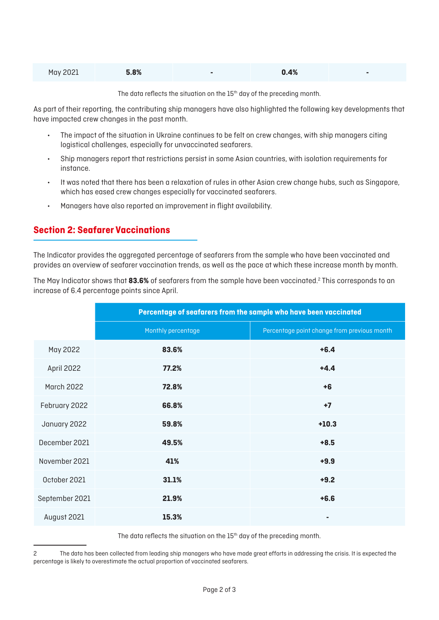| May 2021 | 5.8% | 0.4% |  |
|----------|------|------|--|
|          |      |      |  |

The data reflects the situation on the 15<sup>th</sup> day of the preceding month.

As part of their reporting, the contributing ship managers have also highlighted the following key developments that have impacted crew changes in the past month.

- The impact of the situation in Ukraine continues to be felt on crew changes, with ship managers citing logistical challenges, especially for unvaccinated seafarers.
- Ship managers report that restrictions persist in some Asian countries, with isolation requirements for instance.
- It was noted that there has been a relaxation of rules in other Asian crew change hubs, such as Singapore, which has eased crew changes especially for vaccinated seafarers.
- Managers have also reported an improvement in flight availability.

## **Section 2: Seafarer Vaccinations**

The Indicator provides the aggregated percentage of seafarers from the sample who have been vaccinated and provides an overview of seafarer vaccination trends, as well as the pace at which these increase month by month.

The May Indicator shows that **83.6%** of seafarers from the sample have been vaccinated.2 This corresponds to an increase of 6.4 percentage points since April.

|                   | Percentage of seafarers from the sample who have been vaccinated |                                             |  |  |
|-------------------|------------------------------------------------------------------|---------------------------------------------|--|--|
|                   | Monthly percentage                                               | Percentage point change from previous month |  |  |
| May 2022          | 83.6%                                                            | $+6.4$                                      |  |  |
| April 2022        | 77.2%                                                            | $+4.4$                                      |  |  |
| <b>March 2022</b> | 72.8%                                                            | $+6$                                        |  |  |
| February 2022     | 66.8%                                                            | $+7$                                        |  |  |
| January 2022      | 59.8%                                                            | $+10.3$                                     |  |  |
| December 2021     | 49.5%                                                            | $+8.5$                                      |  |  |
| November 2021     | 41%                                                              | $+9.9$                                      |  |  |
| October 2021      | 31.1%                                                            | $+9.2$                                      |  |  |
| September 2021    | 21.9%                                                            | $+6.6$                                      |  |  |
| August 2021       | 15.3%                                                            | ٠                                           |  |  |

The data reflects the situation on the  $15<sup>th</sup>$  day of the preceding month.

<sup>2</sup> The data has been collected from leading ship managers who have made great efforts in addressing the crisis. It is expected the percentage is likely to overestimate the actual proportion of vaccinated seafarers.